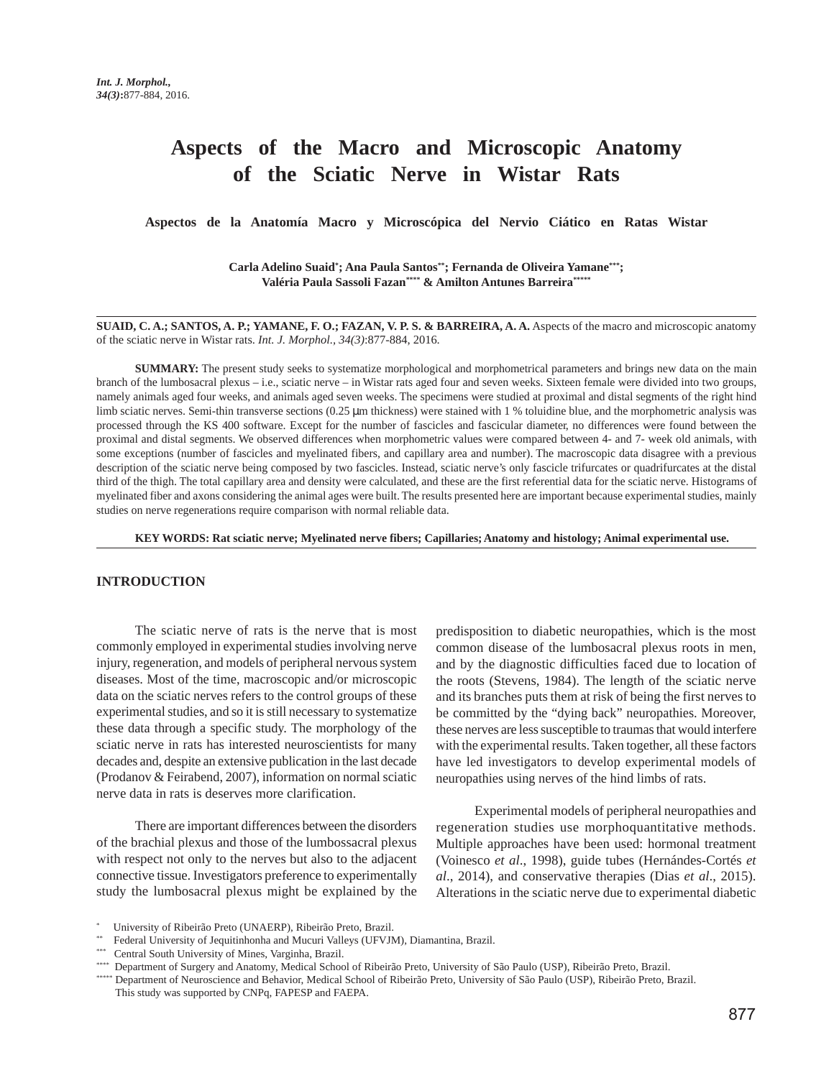# **Aspects of the Macro and Microscopic Anatomy of the Sciatic Nerve in Wistar Rats**

**Aspectos de la Anatomía Macro y Microscópica del Nervio Ciático en Ratas Wistar**

**Carla Adelino Suaid\* ; Ana Paula Santos\*\*; Fernanda de Oliveira Yamane\*\*\*; Valéria Paula Sassoli Fazan\*\*\*\* & Amilton Antunes Barreira\*\*\*\*\***

**SUAID, C. A.; SANTOS, A. P.; YAMANE, F. O.; FAZAN, V. P. S. & BARREIRA, A. A.** Aspects of the macro and microscopic anatomy of the sciatic nerve in Wistar rats. *Int. J. Morphol., 34(3)*:877-884, 2016.

**SUMMARY:** The present study seeks to systematize morphological and morphometrical parameters and brings new data on the main branch of the lumbosacral plexus – i.e., sciatic nerve – in Wistar rats aged four and seven weeks. Sixteen female were divided into two groups, namely animals aged four weeks, and animals aged seven weeks. The specimens were studied at proximal and distal segments of the right hind limb sciatic nerves. Semi-thin transverse sections (0.25  $\mu$ m thickness) were stained with 1 % toluidine blue, and the morphometric analysis was processed through the KS 400 software. Except for the number of fascicles and fascicular diameter, no differences were found between the proximal and distal segments. We observed differences when morphometric values were compared between 4- and 7- week old animals, with some exceptions (number of fascicles and myelinated fibers, and capillary area and number). The macroscopic data disagree with a previous description of the sciatic nerve being composed by two fascicles. Instead, sciatic nerve's only fascicle trifurcates or quadrifurcates at the distal third of the thigh. The total capillary area and density were calculated, and these are the first referential data for the sciatic nerve. Histograms of myelinated fiber and axons considering the animal ages were built. The results presented here are important because experimental studies, mainly studies on nerve regenerations require comparison with normal reliable data.

**KEY WORDS: Rat sciatic nerve; Myelinated nerve fibers; Capillaries; Anatomy and histology; Animal experimental use.**

#### **INTRODUCTION**

The sciatic nerve of rats is the nerve that is most commonly employed in experimental studies involving nerve injury, regeneration, and models of peripheral nervous system diseases. Most of the time, macroscopic and/or microscopic data on the sciatic nerves refers to the control groups of these experimental studies, and so it is still necessary to systematize these data through a specific study. The morphology of the sciatic nerve in rats has interested neuroscientists for many decades and, despite an extensive publication in the last decade (Prodanov & Feirabend, 2007), information on normal sciatic nerve data in rats is deserves more clarification.

There are important differences between the disorders of the brachial plexus and those of the lumbossacral plexus with respect not only to the nerves but also to the adjacent connective tissue. Investigators preference to experimentally study the lumbosacral plexus might be explained by the predisposition to diabetic neuropathies, which is the most common disease of the lumbosacral plexus roots in men, and by the diagnostic difficulties faced due to location of the roots (Stevens, 1984). The length of the sciatic nerve and its branches puts them at risk of being the first nerves to be committed by the "dying back" neuropathies. Moreover, these nerves are less susceptible to traumas that would interfere with the experimental results. Taken together, all these factors have led investigators to develop experimental models of neuropathies using nerves of the hind limbs of rats.

Experimental models of peripheral neuropathies and regeneration studies use morphoquantitative methods. Multiple approaches have been used: hormonal treatment (Voinesco *et al*., 1998), guide tubes (Hernándes-Cortés *et al*., 2014), and conservative therapies (Dias *et al*., 2015). Alterations in the sciatic nerve due to experimental diabetic

\*\*\*\* Department of Surgery and Anatomy, Medical School of Ribeirão Preto, University of São Paulo (USP), Ribeirão Preto, Brazil.

<sup>\*</sup> University of Ribeirão Preto (UNAERP), Ribeirão Preto, Brazil.

<sup>\*\*</sup> Federal University of Jequitinhonha and Mucuri Valleys (UFVJM), Diamantina, Brazil.

<sup>\*\*\*</sup> Central South University of Mines, Varginha, Brazil.

<sup>\*\*\*\*\*</sup> Department of Neuroscience and Behavior, Medical School of Ribeirão Preto, University of São Paulo (USP), Ribeirão Preto, Brazil. This study was supported by CNPq, FAPESP and FAEPA.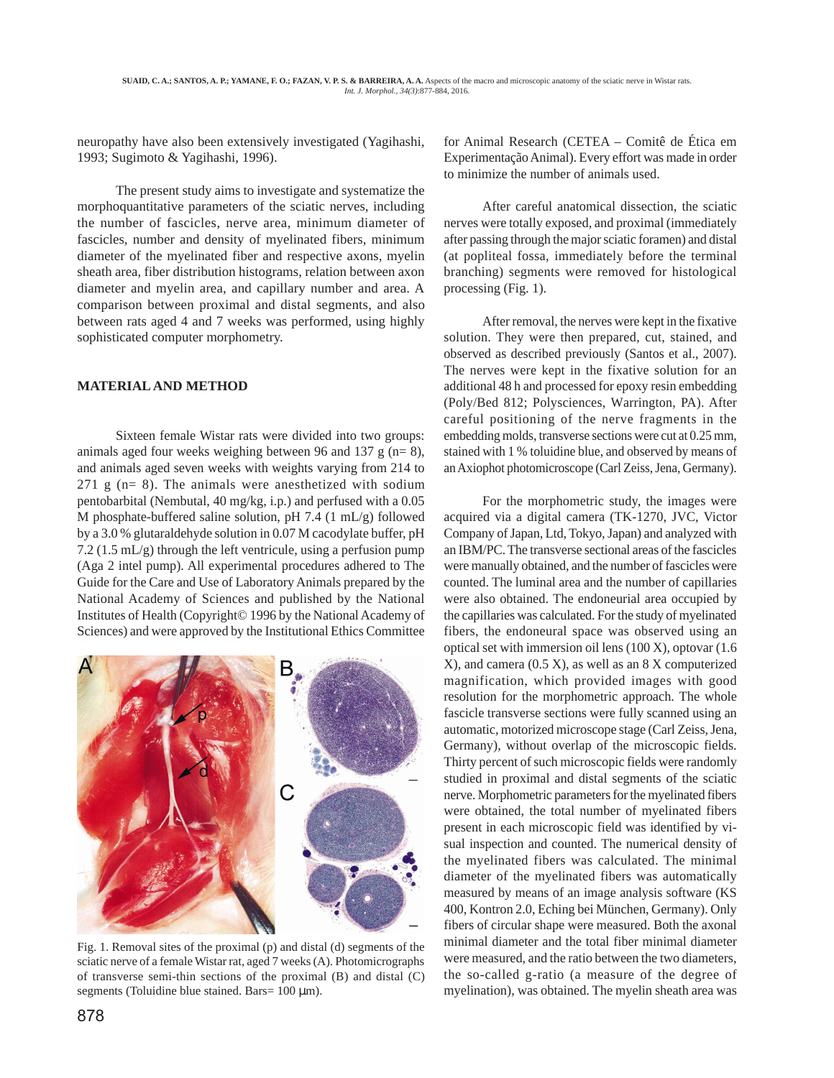neuropathy have also been extensively investigated (Yagihashi, 1993; Sugimoto & Yagihashi, 1996).

The present study aims to investigate and systematize the morphoquantitative parameters of the sciatic nerves, including the number of fascicles, nerve area, minimum diameter of fascicles, number and density of myelinated fibers, minimum diameter of the myelinated fiber and respective axons, myelin sheath area, fiber distribution histograms, relation between axon diameter and myelin area, and capillary number and area. A comparison between proximal and distal segments, and also between rats aged 4 and 7 weeks was performed, using highly sophisticated computer morphometry.

## **MATERIAL AND METHOD**

Sixteen female Wistar rats were divided into two groups: animals aged four weeks weighing between 96 and 137 g ( $n=8$ ), and animals aged seven weeks with weights varying from 214 to  $271$  g (n= 8). The animals were anesthetized with sodium pentobarbital (Nembutal, 40 mg/kg, i.p.) and perfused with a 0.05 M phosphate-buffered saline solution, pH 7.4 (1 mL/g) followed by a 3.0 % glutaraldehyde solution in 0.07 M cacodylate buffer, pH 7.2 (1.5 mL/g) through the left ventricule, using a perfusion pump (Aga 2 intel pump). All experimental procedures adhered to The Guide for the Care and Use of Laboratory Animals prepared by the National Academy of Sciences and published by the National Institutes of Health (Copyright© 1996 by the National Academy of Sciences) and were approved by the Institutional Ethics Committee



Fig. 1. Removal sites of the proximal (p) and distal (d) segments of the sciatic nerve of a female Wistar rat, aged 7 weeks (A). Photomicrographs of transverse semi-thin sections of the proximal (B) and distal (C) segments (Toluidine blue stained. Bars=  $100 \mu m$ ).

for Animal Research (CETEA – Comitê de Ética em Experimentação Animal). Every effort was made in order to minimize the number of animals used.

After careful anatomical dissection, the sciatic nerves were totally exposed, and proximal (immediately after passing through the major sciatic foramen) and distal (at popliteal fossa, immediately before the terminal branching) segments were removed for histological processing (Fig. 1).

After removal, the nerves were kept in the fixative solution. They were then prepared, cut, stained, and observed as described previously (Santos et al., 2007). The nerves were kept in the fixative solution for an additional 48 h and processed for epoxy resin embedding (Poly/Bed 812; Polysciences, Warrington, PA). After careful positioning of the nerve fragments in the embedding molds, transverse sections were cut at 0.25 mm, stained with 1 % toluidine blue, and observed by means of an Axiophot photomicroscope (Carl Zeiss, Jena, Germany).

For the morphometric study, the images were acquired via a digital camera (TK-1270, JVC, Victor Company of Japan, Ltd, Tokyo, Japan) and analyzed with an IBM/PC. The transverse sectional areas of the fascicles were manually obtained, and the number of fascicles were counted. The luminal area and the number of capillaries were also obtained. The endoneurial area occupied by the capillaries was calculated. For the study of myelinated fibers, the endoneural space was observed using an optical set with immersion oil lens (100 X), optovar (1.6 X), and camera (0.5 X), as well as an 8 X computerized magnification, which provided images with good resolution for the morphometric approach. The whole fascicle transverse sections were fully scanned using an automatic, motorized microscope stage (Carl Zeiss, Jena, Germany), without overlap of the microscopic fields. Thirty percent of such microscopic fields were randomly studied in proximal and distal segments of the sciatic nerve. Morphometric parameters for the myelinated fibers were obtained, the total number of myelinated fibers present in each microscopic field was identified by visual inspection and counted. The numerical density of the myelinated fibers was calculated. The minimal diameter of the myelinated fibers was automatically measured by means of an image analysis software (KS 400, Kontron 2.0, Eching bei München, Germany). Only fibers of circular shape were measured. Both the axonal minimal diameter and the total fiber minimal diameter were measured, and the ratio between the two diameters, the so-called g-ratio (a measure of the degree of myelination), was obtained. The myelin sheath area was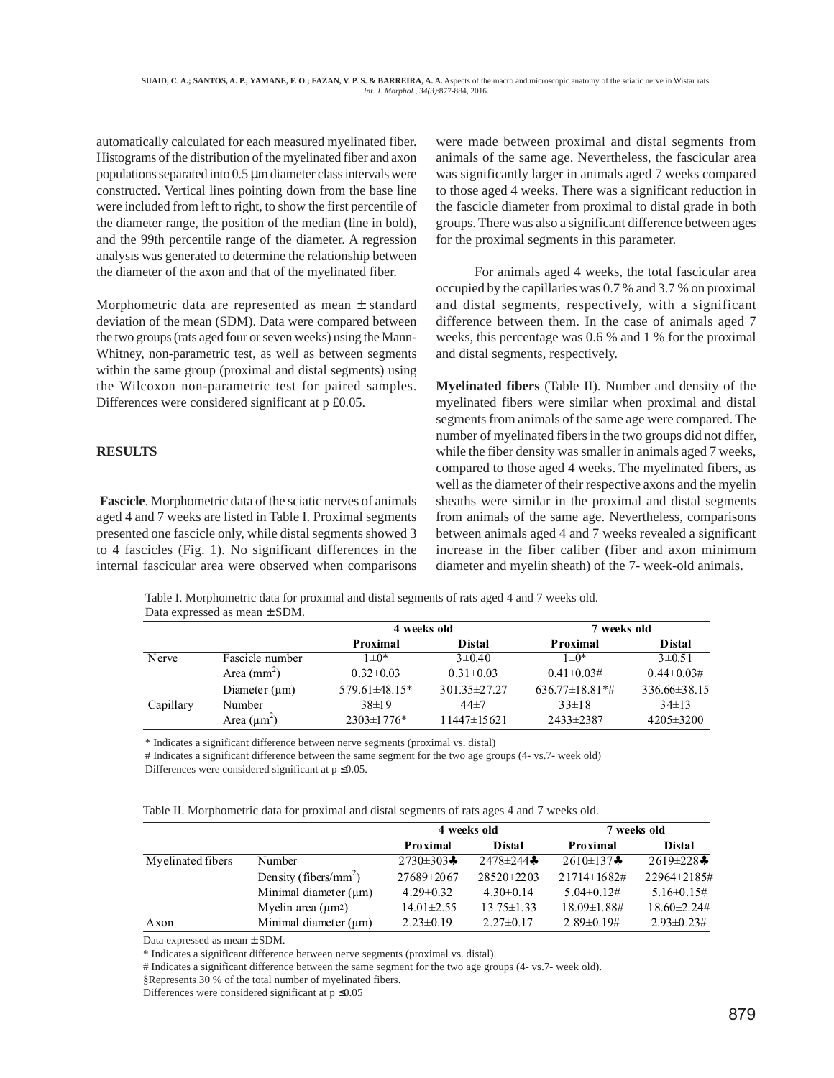automatically calculated for each measured myelinated fiber. Histograms of the distribution of the myelinated fiber and axon populations separated into  $0.5 \mu m$  diameter class intervals were constructed. Vertical lines pointing down from the base line were included from left to right, to show the first percentile of the diameter range, the position of the median (line in bold), and the 99th percentile range of the diameter. A regression analysis was generated to determine the relationship between the diameter of the axon and that of the myelinated fiber.

Morphometric data are represented as mean ± standard deviation of the mean (SDM). Data were compared between the two groups (rats aged four or seven weeks) using the Mann-Whitney, non-parametric test, as well as between segments within the same group (proximal and distal segments) using the Wilcoxon non-parametric test for paired samples. Differences were considered significant at p £0.05.

## **RESULTS**

**Fascicle**. Morphometric data of the sciatic nerves of animals aged 4 and 7 weeks are listed in Table I. Proximal segments presented one fascicle only, while distal segments showed 3 to 4 fascicles (Fig. 1). No significant differences in the internal fascicular area were observed when comparisons

were made between proximal and distal segments from animals of the same age. Nevertheless, the fascicular area was significantly larger in animals aged 7 weeks compared to those aged 4 weeks. There was a significant reduction in the fascicle diameter from proximal to distal grade in both groups. There was also a significant difference between ages for the proximal segments in this parameter.

For animals aged 4 weeks, the total fascicular area occupied by the capillaries was 0.7 % and 3.7 % on proximal and distal segments, respectively, with a significant difference between them. In the case of animals aged 7 weeks, this percentage was 0.6 % and 1 % for the proximal and distal segments, respectively.

**Myelinated fibers** (Table II). Number and density of the myelinated fibers were similar when proximal and distal segments from animals of the same age were compared. The number of myelinated fibers in the two groups did not differ, while the fiber density was smaller in animals aged 7 weeks, compared to those aged 4 weeks. The myelinated fibers, as well as the diameter of their respective axons and the myelin sheaths were similar in the proximal and distal segments from animals of the same age. Nevertheless, comparisons between animals aged 4 and 7 weeks revealed a significant increase in the fiber caliber (fiber and axon minimum diameter and myelin sheath) of the 7- week-old animals.

Table I. Morphometric data for proximal and distal segments of rats aged 4 and 7 weeks old. Data expressed as mean ± SDM.

|           |                    | 4 weeks old       |                 | weeks old          |                  |
|-----------|--------------------|-------------------|-----------------|--------------------|------------------|
|           |                    | Proximal          | <b>Distal</b>   | Proximal           | <b>Distal</b>    |
| Nerve     | Fascicle number    | $1 \pm 0^*$       | $3 \pm 0.40$    | $1 \pm 0^*$        | $3 \pm 0.51$     |
|           | Area $(mm2)$       | $0.32 \pm 0.03$   | $0.31 \pm 0.03$ | $0.41 \pm 0.03#$   | $0.44\pm 0.03\#$ |
|           | Diameter $(\mu m)$ | $579.61\pm48.15*$ | 301.35 ± 27.27  | $636.77\pm18.81**$ | 336.66±38.15     |
| Capillary | Number             | $38\pm19$         | $44 + 7$        | $33\pm18$          | $34\pm13$        |
|           | Area $(\mu m^2)$   | 2303±1776*        | 11447±15621     | 2433±2387          | 4205 ± 3200      |

\* Indicates a significant difference between nerve segments (proximal vs. distal)

# Indicates a significant difference between the same segment for the two age groups (4- vs.7- week old) Differences were considered significant at  $p \leq 0.05$ .

Table II. Morphometric data for proximal and distal segments of rats ages 4 and 7 weeks old.

|                   |                                   | 4 weeks old              |                  | 7 weeks old        |                          |
|-------------------|-----------------------------------|--------------------------|------------------|--------------------|--------------------------|
|                   |                                   | Proximal                 | <b>Distal</b>    | Proximal           | <b>Distal</b>            |
| Myelinated fibers | Number                            | 2730 $\pm$ 303 $\bullet$ | 2478 $\pm$ 244*  | 2610±137*          | 2619 $\pm$ 228 $\bullet$ |
|                   | Density (fibers/mm <sup>2</sup> ) | 27689±2067               | $28520 \pm 2203$ | $21714 \pm 1682$ # | 22964±2185#              |
|                   | Minimal diameter (um)             | $4.29 \pm 0.32$          | $4.30\pm0.14$    | $5.04\pm0.12\#$    | $5.16\pm0.15#$           |
|                   | Myelin area $(\mu m^2)$           | $14.01 \pm 2.55$         | $13.75 \pm 1.33$ | 18.09±1.88#        | $18.60\pm2.24\#$         |
| Axon              | Minimal diameter $(\mu m)$        | $2.23 \pm 0.19$          | $2.27\pm0.17$    | $2.89 \pm 0.19#$   | $2.93\pm 0.23\#$         |

Data expressed as mean ± SDM.

\* Indicates a significant difference between nerve segments (proximal vs. distal).

# Indicates a significant difference between the same segment for the two age groups (4- vs.7- week old).

§Represents 30 % of the total number of myelinated fibers.

Differences were considered significant at  $p \leq 0.05$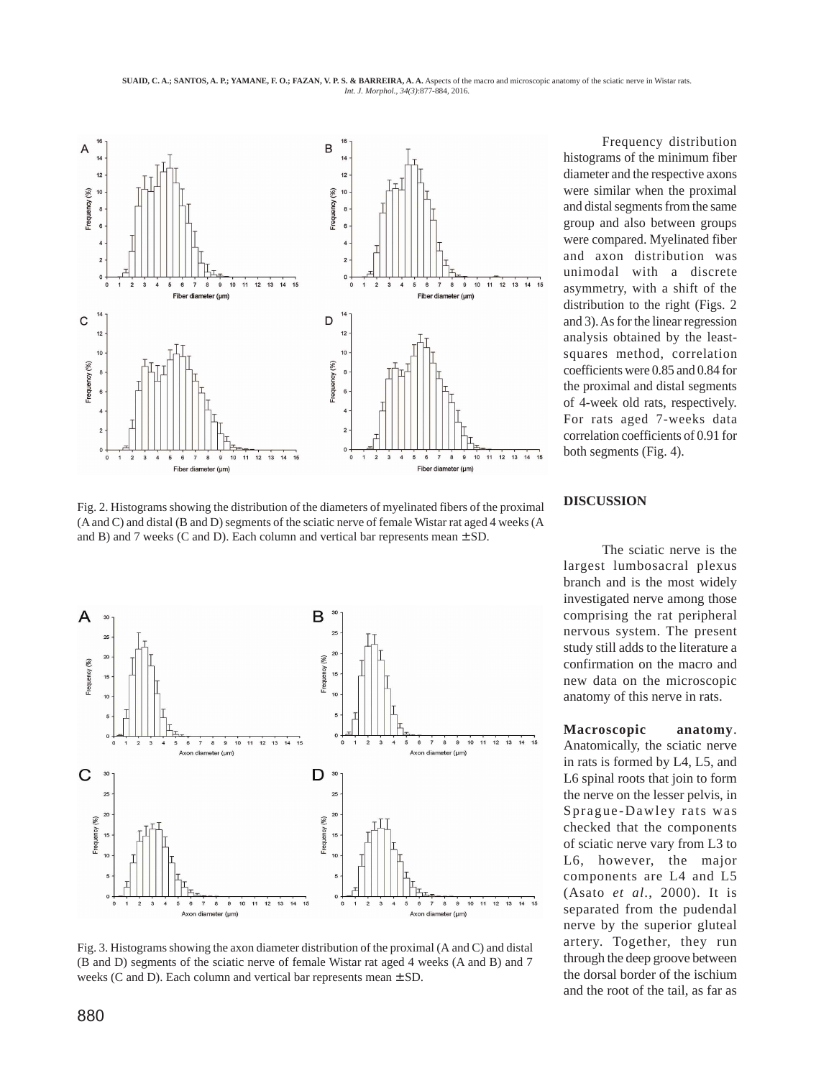**SUAID, C. A.; SANTOS, A. P.; YAMANE, F. O.; FAZAN, V. P. S. & BARREIRA, A. A.** Aspects of the macro and microscopic anatomy of the sciatic nerve in Wistar rats. *Int. J. Morphol., 34(3)*:877-884, 2016.



Fig. 2. Histograms showing the distribution of the diameters of myelinated fibers of the proximal (A and C) and distal (B and D) segments of the sciatic nerve of female Wistar rat aged 4 weeks (A and B) and 7 weeks (C and D). Each column and vertical bar represents mean  $\pm$  SD.



Fig. 3. Histograms showing the axon diameter distribution of the proximal (A and C) and distal (B and D) segments of the sciatic nerve of female Wistar rat aged 4 weeks (A and B) and 7 weeks (C and D). Each column and vertical bar represents mean  $\pm$  SD.

Frequency distribution histograms of the minimum fiber diameter and the respective axons were similar when the proximal and distal segments from the same group and also between groups were compared. Myelinated fiber and axon distribution was unimodal with a discrete asymmetry, with a shift of the distribution to the right (Figs. 2 and 3). As for the linear regression analysis obtained by the leastsquares method, correlation coefficients were 0.85 and 0.84 for the proximal and distal segments of 4-week old rats, respectively. For rats aged 7-weeks data correlation coefficients of 0.91 for both segments (Fig. 4).

## **DISCUSSION**

The sciatic nerve is the largest lumbosacral plexus branch and is the most widely investigated nerve among those comprising the rat peripheral nervous system. The present study still adds to the literature a confirmation on the macro and new data on the microscopic anatomy of this nerve in rats.

**Macroscopic anatomy**. Anatomically, the sciatic nerve in rats is formed by L4, L5, and L6 spinal roots that join to form the nerve on the lesser pelvis, in Sprague-Dawley rats was checked that the components of sciatic nerve vary from L3 to L6, however, the major components are L4 and L5 (Asato *et al*., 2000). It is separated from the pudendal nerve by the superior gluteal artery. Together, they run through the deep groove between the dorsal border of the ischium and the root of the tail, as far as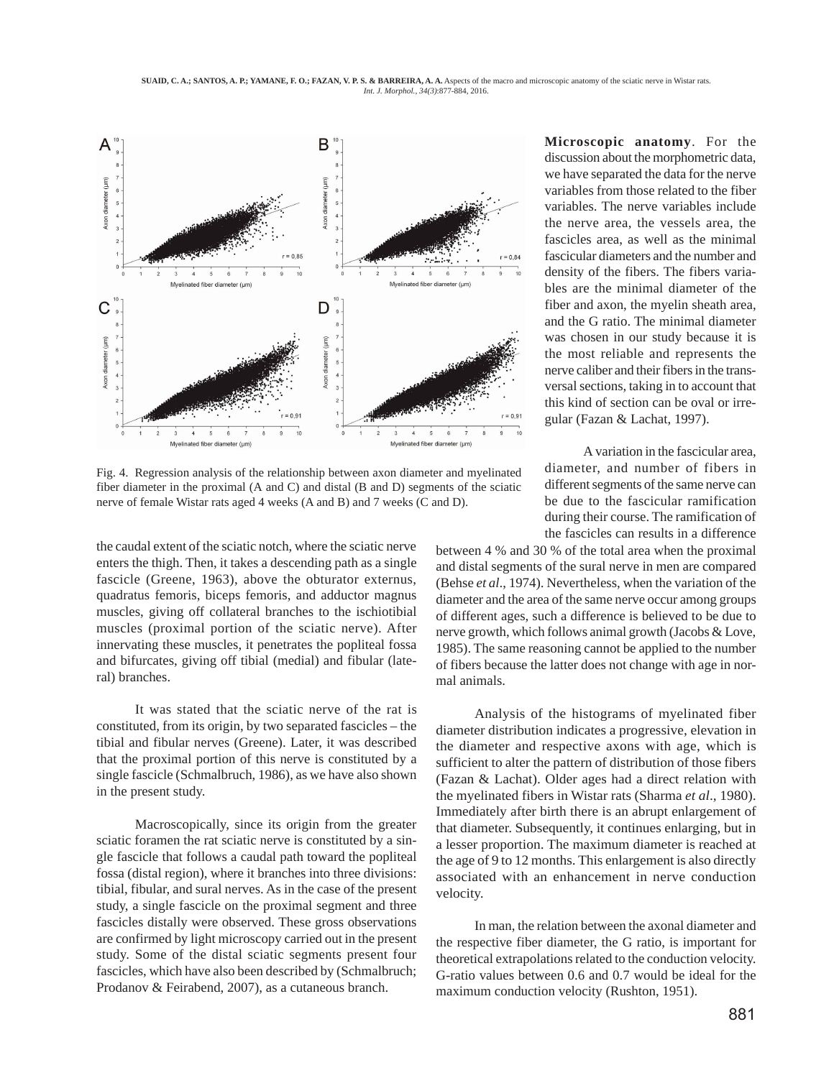**SUAID, C. A.; SANTOS, A. P.; YAMANE, F. O.; FAZAN, V. P. S. & BARREIRA, A. A.** Aspects of the macro and microscopic anatomy of the sciatic nerve in Wistar rats. *Int. J. Morphol., 34(3)*:877-884, 2016.



Fig. 4. Regression analysis of the relationship between axon diameter and myelinated fiber diameter in the proximal (A and C) and distal (B and D) segments of the sciatic nerve of female Wistar rats aged 4 weeks (A and B) and 7 weeks (C and D).

the caudal extent of the sciatic notch, where the sciatic nerve enters the thigh. Then, it takes a descending path as a single fascicle (Greene, 1963), above the obturator externus, quadratus femoris, biceps femoris, and adductor magnus muscles, giving off collateral branches to the ischiotibial muscles (proximal portion of the sciatic nerve). After innervating these muscles, it penetrates the popliteal fossa and bifurcates, giving off tibial (medial) and fibular (lateral) branches.

It was stated that the sciatic nerve of the rat is constituted, from its origin, by two separated fascicles – the tibial and fibular nerves (Greene). Later, it was described that the proximal portion of this nerve is constituted by a single fascicle (Schmalbruch, 1986), as we have also shown in the present study.

Macroscopically, since its origin from the greater sciatic foramen the rat sciatic nerve is constituted by a single fascicle that follows a caudal path toward the popliteal fossa (distal region), where it branches into three divisions: tibial, fibular, and sural nerves. As in the case of the present study, a single fascicle on the proximal segment and three fascicles distally were observed. These gross observations are confirmed by light microscopy carried out in the present study. Some of the distal sciatic segments present four fascicles, which have also been described by (Schmalbruch; Prodanov & Feirabend, 2007), as a cutaneous branch.

**Microscopic anatomy**. For the discussion about the morphometric data, we have separated the data for the nerve variables from those related to the fiber variables. The nerve variables include the nerve area, the vessels area, the fascicles area, as well as the minimal fascicular diameters and the number and density of the fibers. The fibers variables are the minimal diameter of the fiber and axon, the myelin sheath area, and the G ratio. The minimal diameter was chosen in our study because it is the most reliable and represents the nerve caliber and their fibers in the transversal sections, taking in to account that this kind of section can be oval or irregular (Fazan & Lachat, 1997).

A variation in the fascicular area, diameter, and number of fibers in different segments of the same nerve can be due to the fascicular ramification during their course. The ramification of the fascicles can results in a difference

between 4 % and 30 % of the total area when the proximal and distal segments of the sural nerve in men are compared (Behse *et al*., 1974). Nevertheless, when the variation of the diameter and the area of the same nerve occur among groups of different ages, such a difference is believed to be due to nerve growth, which follows animal growth (Jacobs & Love, 1985). The same reasoning cannot be applied to the number of fibers because the latter does not change with age in normal animals.

Analysis of the histograms of myelinated fiber diameter distribution indicates a progressive, elevation in the diameter and respective axons with age, which is sufficient to alter the pattern of distribution of those fibers (Fazan & Lachat). Older ages had a direct relation with the myelinated fibers in Wistar rats (Sharma *et al*., 1980). Immediately after birth there is an abrupt enlargement of that diameter. Subsequently, it continues enlarging, but in a lesser proportion. The maximum diameter is reached at the age of 9 to 12 months. This enlargement is also directly associated with an enhancement in nerve conduction velocity.

In man, the relation between the axonal diameter and the respective fiber diameter, the G ratio, is important for theoretical extrapolations related to the conduction velocity. G-ratio values between 0.6 and 0.7 would be ideal for the maximum conduction velocity (Rushton, 1951).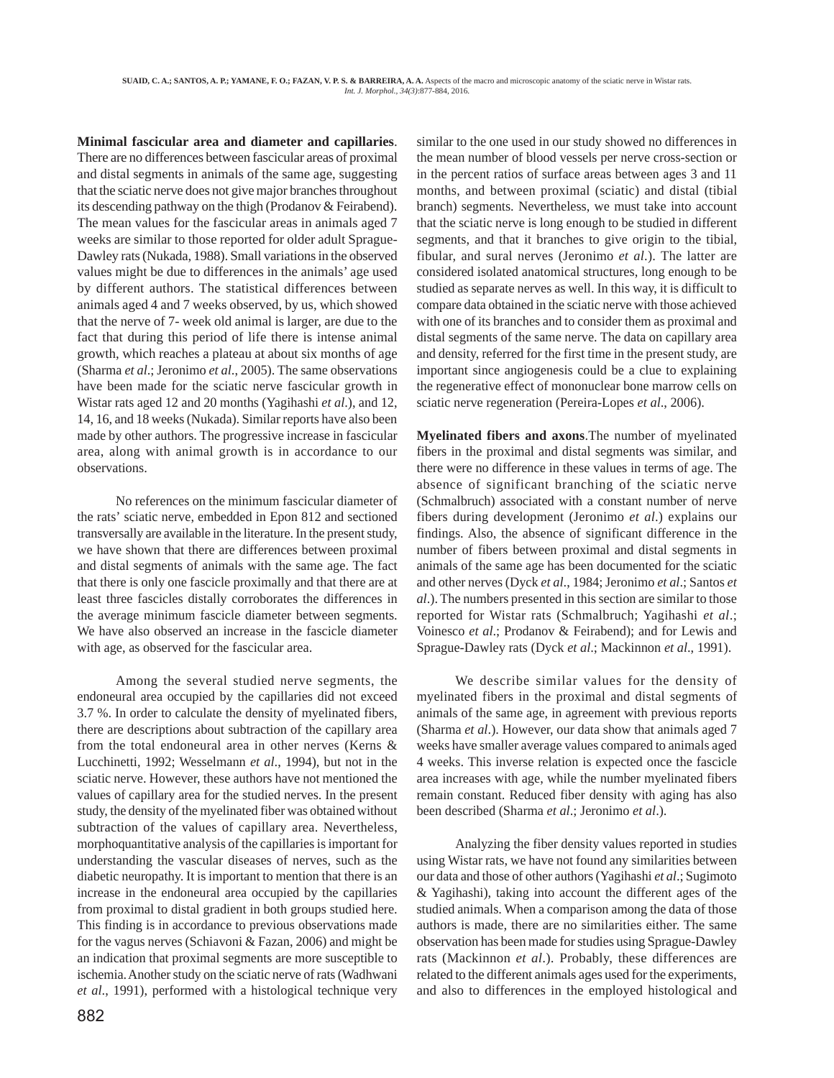**Minimal fascicular area and diameter and capillaries**. There are no differences between fascicular areas of proximal and distal segments in animals of the same age, suggesting that the sciatic nerve does not give major branches throughout its descending pathway on the thigh (Prodanov & Feirabend). The mean values for the fascicular areas in animals aged 7 weeks are similar to those reported for older adult Sprague-Dawley rats (Nukada, 1988). Small variations in the observed values might be due to differences in the animals' age used by different authors. The statistical differences between animals aged 4 and 7 weeks observed, by us, which showed that the nerve of 7- week old animal is larger, are due to the fact that during this period of life there is intense animal growth, which reaches a plateau at about six months of age (Sharma *et al*.; Jeronimo *et al*., 2005). The same observations have been made for the sciatic nerve fascicular growth in Wistar rats aged 12 and 20 months (Yagihashi *et al*.), and 12, 14, 16, and 18 weeks (Nukada). Similar reports have also been made by other authors. The progressive increase in fascicular area, along with animal growth is in accordance to our observations.

No references on the minimum fascicular diameter of the rats' sciatic nerve, embedded in Epon 812 and sectioned transversally are available in the literature. In the present study, we have shown that there are differences between proximal and distal segments of animals with the same age. The fact that there is only one fascicle proximally and that there are at least three fascicles distally corroborates the differences in the average minimum fascicle diameter between segments. We have also observed an increase in the fascicle diameter with age, as observed for the fascicular area.

Among the several studied nerve segments, the endoneural area occupied by the capillaries did not exceed 3.7 %. In order to calculate the density of myelinated fibers, there are descriptions about subtraction of the capillary area from the total endoneural area in other nerves (Kerns & Lucchinetti, 1992; Wesselmann *et al*., 1994), but not in the sciatic nerve. However, these authors have not mentioned the values of capillary area for the studied nerves. In the present study, the density of the myelinated fiber was obtained without subtraction of the values of capillary area. Nevertheless, morphoquantitative analysis of the capillaries is important for understanding the vascular diseases of nerves, such as the diabetic neuropathy. It is important to mention that there is an increase in the endoneural area occupied by the capillaries from proximal to distal gradient in both groups studied here. This finding is in accordance to previous observations made for the vagus nerves (Schiavoni & Fazan, 2006) and might be an indication that proximal segments are more susceptible to ischemia. Another study on the sciatic nerve of rats (Wadhwani *et al*., 1991), performed with a histological technique very

similar to the one used in our study showed no differences in the mean number of blood vessels per nerve cross-section or in the percent ratios of surface areas between ages 3 and 11 months, and between proximal (sciatic) and distal (tibial branch) segments. Nevertheless, we must take into account that the sciatic nerve is long enough to be studied in different segments, and that it branches to give origin to the tibial, fibular, and sural nerves (Jeronimo *et al*.). The latter are considered isolated anatomical structures, long enough to be studied as separate nerves as well. In this way, it is difficult to compare data obtained in the sciatic nerve with those achieved with one of its branches and to consider them as proximal and distal segments of the same nerve. The data on capillary area and density, referred for the first time in the present study, are important since angiogenesis could be a clue to explaining the regenerative effect of mononuclear bone marrow cells on sciatic nerve regeneration (Pereira-Lopes *et al*., 2006).

**Myelinated fibers and axons**.The number of myelinated fibers in the proximal and distal segments was similar, and there were no difference in these values in terms of age. The absence of significant branching of the sciatic nerve (Schmalbruch) associated with a constant number of nerve fibers during development (Jeronimo *et al*.) explains our findings. Also, the absence of significant difference in the number of fibers between proximal and distal segments in animals of the same age has been documented for the sciatic and other nerves (Dyck *et al*., 1984; Jeronimo *et al*.; Santos *et al*.). The numbers presented in this section are similar to those reported for Wistar rats (Schmalbruch; Yagihashi *et al*.; Voinesco *et al*.; Prodanov & Feirabend); and for Lewis and Sprague-Dawley rats (Dyck *et al*.; Mackinnon *et al*., 1991).

We describe similar values for the density of myelinated fibers in the proximal and distal segments of animals of the same age, in agreement with previous reports (Sharma *et al*.). However, our data show that animals aged 7 weeks have smaller average values compared to animals aged 4 weeks. This inverse relation is expected once the fascicle area increases with age, while the number myelinated fibers remain constant. Reduced fiber density with aging has also been described (Sharma *et al*.; Jeronimo *et al*.).

Analyzing the fiber density values reported in studies using Wistar rats, we have not found any similarities between our data and those of other authors (Yagihashi *et al*.; Sugimoto & Yagihashi), taking into account the different ages of the studied animals. When a comparison among the data of those authors is made, there are no similarities either. The same observation has been made for studies using Sprague-Dawley rats (Mackinnon *et al*.). Probably, these differences are related to the different animals ages used for the experiments, and also to differences in the employed histological and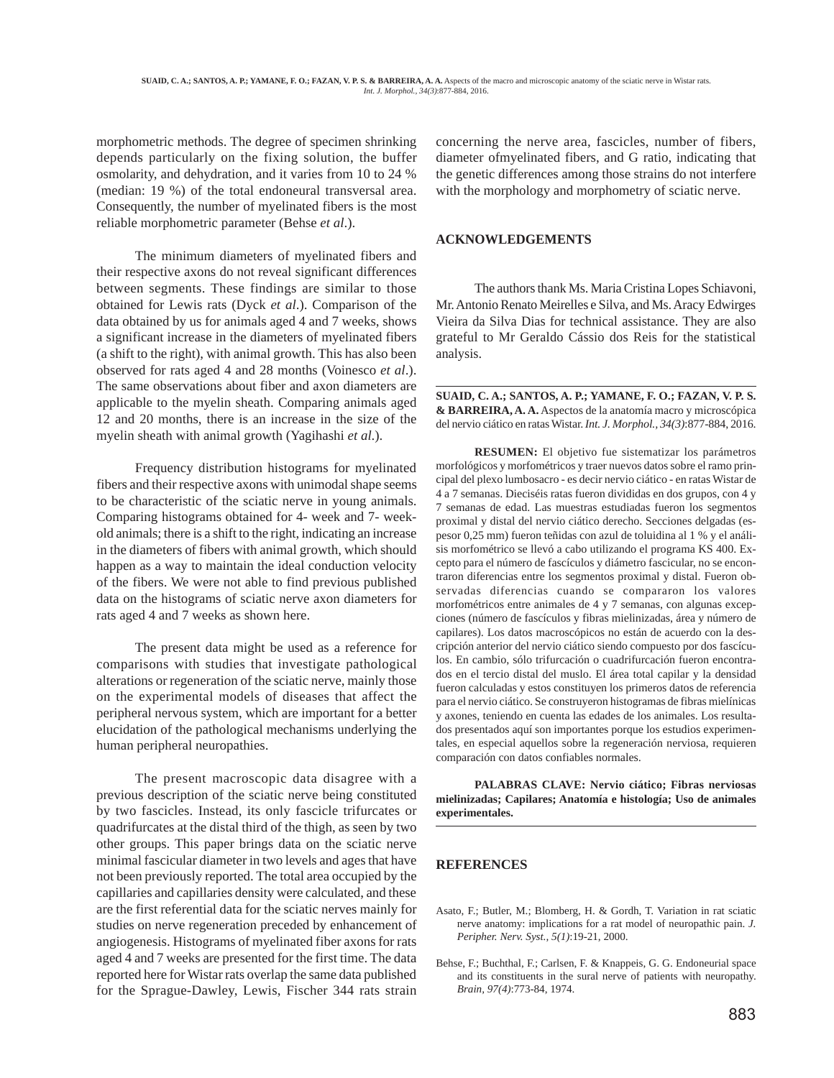morphometric methods. The degree of specimen shrinking depends particularly on the fixing solution, the buffer osmolarity, and dehydration, and it varies from 10 to 24 % (median: 19 %) of the total endoneural transversal area. Consequently, the number of myelinated fibers is the most reliable morphometric parameter (Behse *et al*.).

The minimum diameters of myelinated fibers and their respective axons do not reveal significant differences between segments. These findings are similar to those obtained for Lewis rats (Dyck *et al*.). Comparison of the data obtained by us for animals aged 4 and 7 weeks, shows a significant increase in the diameters of myelinated fibers (a shift to the right), with animal growth. This has also been observed for rats aged 4 and 28 months (Voinesco *et al*.). The same observations about fiber and axon diameters are applicable to the myelin sheath. Comparing animals aged 12 and 20 months, there is an increase in the size of the myelin sheath with animal growth (Yagihashi *et al*.).

Frequency distribution histograms for myelinated fibers and their respective axons with unimodal shape seems to be characteristic of the sciatic nerve in young animals. Comparing histograms obtained for 4- week and 7- weekold animals; there is a shift to the right, indicating an increase in the diameters of fibers with animal growth, which should happen as a way to maintain the ideal conduction velocity of the fibers. We were not able to find previous published data on the histograms of sciatic nerve axon diameters for rats aged 4 and 7 weeks as shown here.

The present data might be used as a reference for comparisons with studies that investigate pathological alterations or regeneration of the sciatic nerve, mainly those on the experimental models of diseases that affect the peripheral nervous system, which are important for a better elucidation of the pathological mechanisms underlying the human peripheral neuropathies.

The present macroscopic data disagree with a previous description of the sciatic nerve being constituted by two fascicles. Instead, its only fascicle trifurcates or quadrifurcates at the distal third of the thigh, as seen by two other groups. This paper brings data on the sciatic nerve minimal fascicular diameter in two levels and ages that have not been previously reported. The total area occupied by the capillaries and capillaries density were calculated, and these are the first referential data for the sciatic nerves mainly for studies on nerve regeneration preceded by enhancement of angiogenesis. Histograms of myelinated fiber axons for rats aged 4 and 7 weeks are presented for the first time. The data reported here for Wistar rats overlap the same data published for the Sprague-Dawley, Lewis, Fischer 344 rats strain

concerning the nerve area, fascicles, number of fibers, diameter ofmyelinated fibers, and G ratio, indicating that the genetic differences among those strains do not interfere with the morphology and morphometry of sciatic nerve.

#### **ACKNOWLEDGEMENTS**

The authors thank Ms. Maria Cristina Lopes Schiavoni, Mr. Antonio Renato Meirelles e Silva, and Ms. Aracy Edwirges Vieira da Silva Dias for technical assistance. They are also grateful to Mr Geraldo Cássio dos Reis for the statistical analysis.

**SUAID, C. A.; SANTOS, A. P.; YAMANE, F. O.; FAZAN, V. P. S. & BARREIRA, A. A.** Aspectos de la anatomía macro y microscópica del nervio ciático en ratas Wistar. *Int. J. Morphol., 34(3)*:877-884, 2016.

**RESUMEN:** El objetivo fue sistematizar los parámetros morfológicos y morfométricos y traer nuevos datos sobre el ramo principal del plexo lumbosacro - es decir nervio ciático - en ratas Wistar de 4 a 7 semanas. Dieciséis ratas fueron divididas en dos grupos, con 4 y 7 semanas de edad. Las muestras estudiadas fueron los segmentos proximal y distal del nervio ciático derecho. Secciones delgadas (espesor 0,25 mm) fueron teñidas con azul de toluidina al 1 % y el análisis morfométrico se llevó a cabo utilizando el programa KS 400. Excepto para el número de fascículos y diámetro fascicular, no se encontraron diferencias entre los segmentos proximal y distal. Fueron observadas diferencias cuando se compararon los valores morfométricos entre animales de 4 y 7 semanas, con algunas excepciones (número de fascículos y fibras mielinizadas, área y número de capilares). Los datos macroscópicos no están de acuerdo con la descripción anterior del nervio ciático siendo compuesto por dos fascículos. En cambio, sólo trifurcación o cuadrifurcación fueron encontrados en el tercio distal del muslo. El área total capilar y la densidad fueron calculadas y estos constituyen los primeros datos de referencia para el nervio ciático. Se construyeron histogramas de fibras mielínicas y axones, teniendo en cuenta las edades de los animales. Los resultados presentados aquí son importantes porque los estudios experimentales, en especial aquellos sobre la regeneración nerviosa, requieren comparación con datos confiables normales.

**PALABRAS CLAVE: Nervio ciático; Fibras nerviosas mielinizadas; Capilares; Anatomía e histología; Uso de animales experimentales.**

## **REFERENCES**

- Asato, F.; Butler, M.; Blomberg, H. & Gordh, T. Variation in rat sciatic nerve anatomy: implications for a rat model of neuropathic pain. *J. Peripher. Nerv. Syst., 5(1)*:19-21, 2000.
- Behse, F.; Buchthal, F.; Carlsen, F. & Knappeis, G. G. Endoneurial space and its constituents in the sural nerve of patients with neuropathy. *Brain, 97(4)*:773-84, 1974.